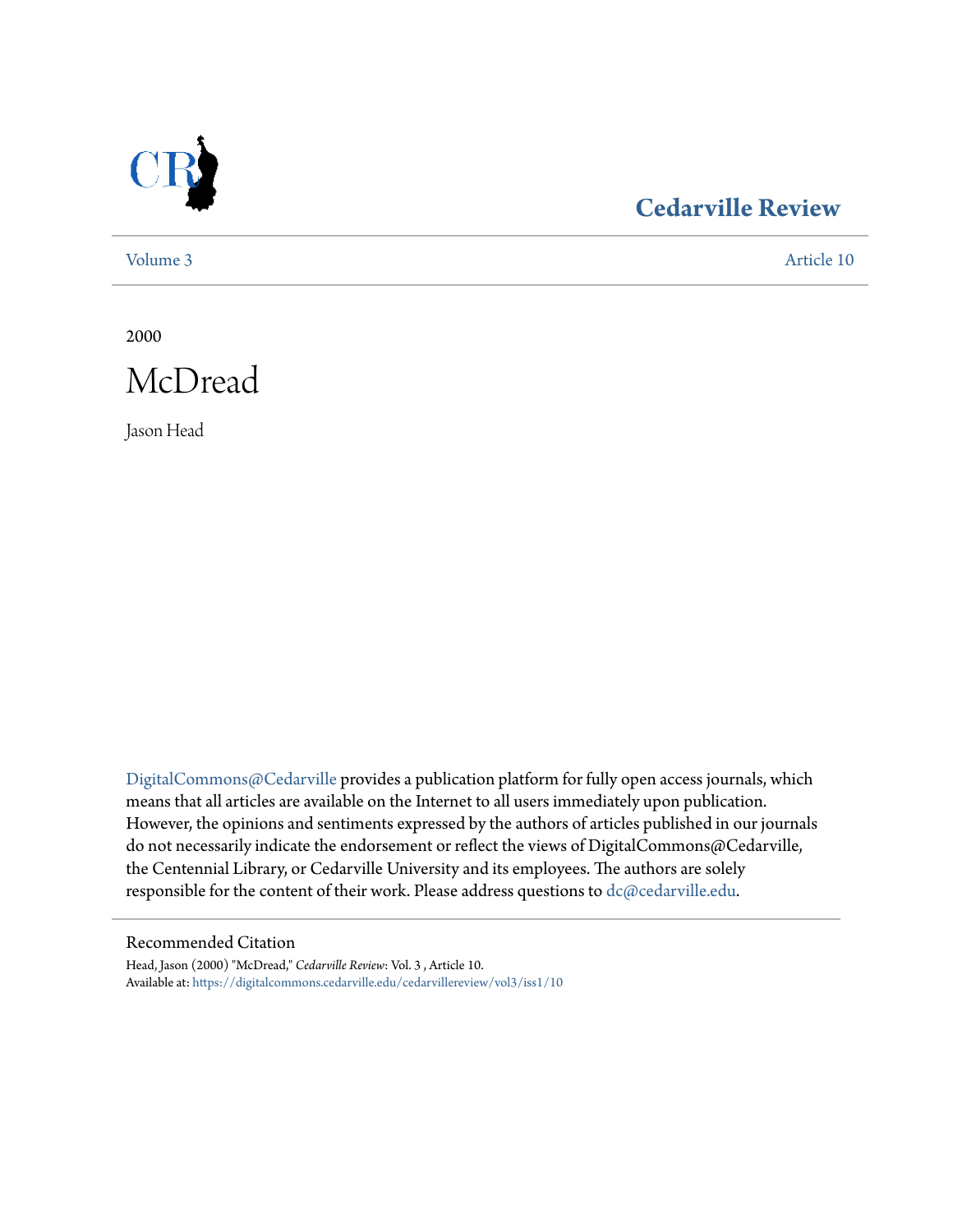

### **[Cedarville Review](https://digitalcommons.cedarville.edu/cedarvillereview?utm_source=digitalcommons.cedarville.edu%2Fcedarvillereview%2Fvol3%2Fiss1%2F10&utm_medium=PDF&utm_campaign=PDFCoverPages)**

[Volume 3](https://digitalcommons.cedarville.edu/cedarvillereview/vol3?utm_source=digitalcommons.cedarville.edu%2Fcedarvillereview%2Fvol3%2Fiss1%2F10&utm_medium=PDF&utm_campaign=PDFCoverPages) [Article 10](https://digitalcommons.cedarville.edu/cedarvillereview/vol3/iss1/10?utm_source=digitalcommons.cedarville.edu%2Fcedarvillereview%2Fvol3%2Fiss1%2F10&utm_medium=PDF&utm_campaign=PDFCoverPages)

2000



Jason Head

[DigitalCommons@Cedarville](http://digitalcommons.cedarville.edu) provides a publication platform for fully open access journals, which means that all articles are available on the Internet to all users immediately upon publication. However, the opinions and sentiments expressed by the authors of articles published in our journals do not necessarily indicate the endorsement or reflect the views of DigitalCommons@Cedarville, the Centennial Library, or Cedarville University and its employees. The authors are solely responsible for the content of their work. Please address questions to [dc@cedarville.edu](mailto:dc@cedarville.edu).

#### Recommended Citation

Head, Jason (2000) "McDread," *Cedarville Review*: Vol. 3 , Article 10. Available at: [https://digitalcommons.cedarville.edu/cedarvillereview/vol3/iss1/10](https://digitalcommons.cedarville.edu/cedarvillereview/vol3/iss1/10?utm_source=digitalcommons.cedarville.edu%2Fcedarvillereview%2Fvol3%2Fiss1%2F10&utm_medium=PDF&utm_campaign=PDFCoverPages)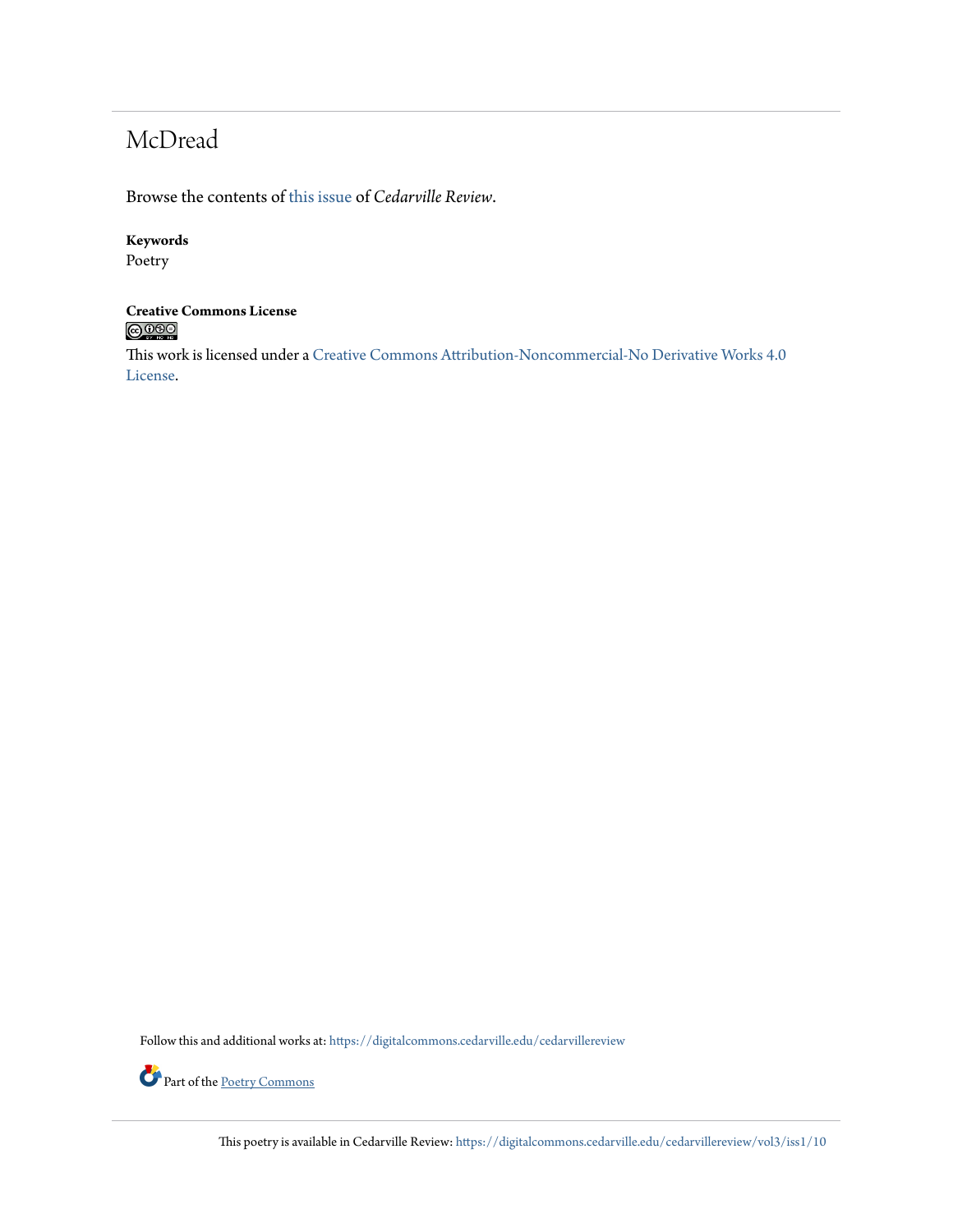## McDread

Browse the contents of [this issue](https://digitalcommons.cedarville.edu/cedarvillereview/vol3/iss1) of *Cedarville Review*.

#### **Keywords**

Poetry

### **Creative Commons License**  $\bigcirc$  000

This work is licensed under a [Creative Commons Attribution-Noncommercial-No Derivative Works 4.0](http://creativecommons.org/licenses/by-nc-nd/4.0/) [License.](http://creativecommons.org/licenses/by-nc-nd/4.0/)

Follow this and additional works at: [https://digitalcommons.cedarville.edu/cedarvillereview](https://digitalcommons.cedarville.edu/cedarvillereview?utm_source=digitalcommons.cedarville.edu%2Fcedarvillereview%2Fvol3%2Fiss1%2F10&utm_medium=PDF&utm_campaign=PDFCoverPages)



This poetry is available in Cedarville Review: [https://digitalcommons.cedarville.edu/cedarvillereview/vol3/iss1/10](https://digitalcommons.cedarville.edu/cedarvillereview/vol3/iss1/10?utm_source=digitalcommons.cedarville.edu%2Fcedarvillereview%2Fvol3%2Fiss1%2F10&utm_medium=PDF&utm_campaign=PDFCoverPages)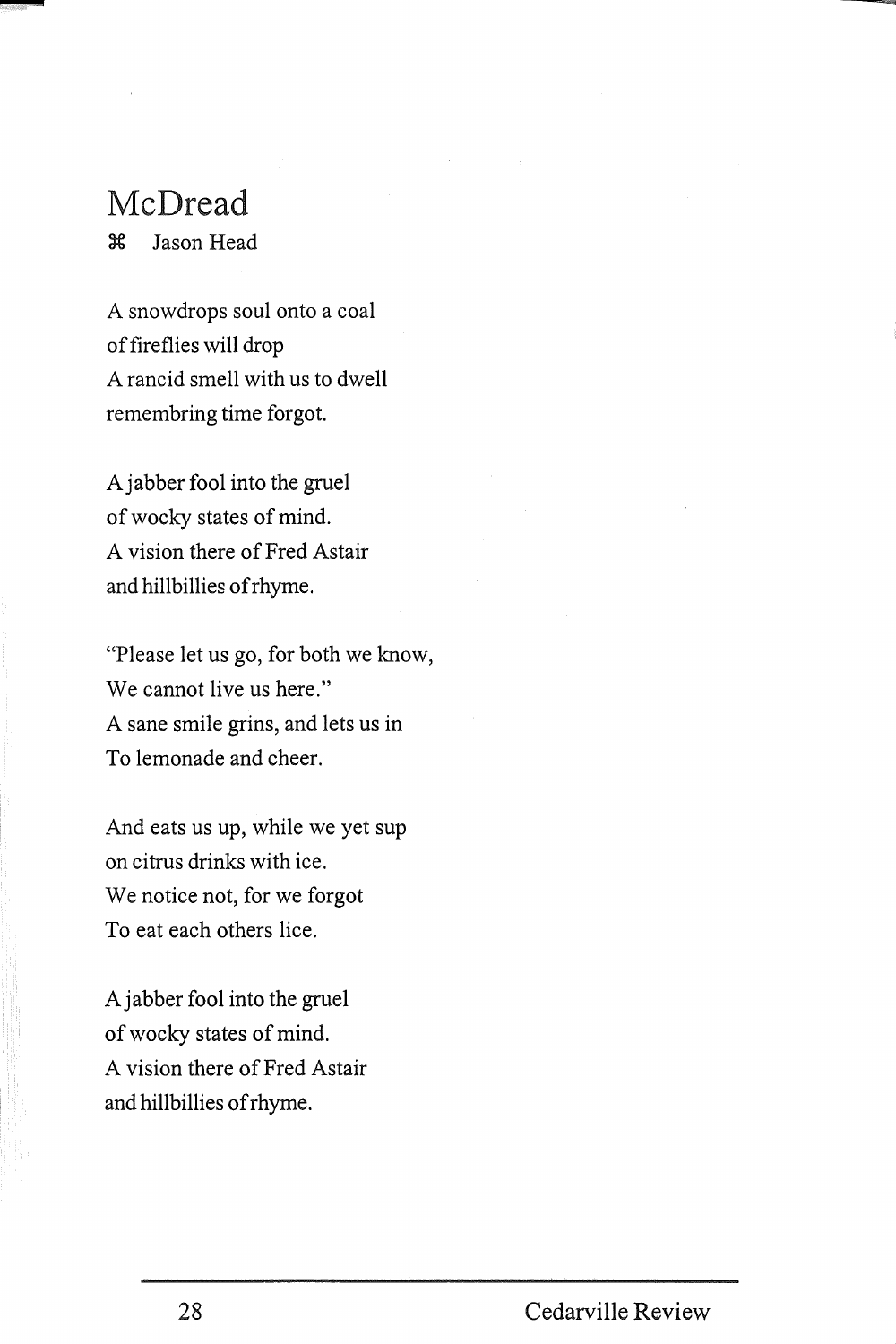# **McDread**

-

3€ Jason Head

A snowdrops soul onto a coal of fireflies will drop A rancid smell with us to dwell remembring time forgot.

Ajabber fool into the gruel of wocky states of mind. A vision there of Fred Astair and hillbillies of rhyme.

"Please let us go, for both we know, We cannot live us here." A sane smile grins, and lets us in To lemonade and cheer.

And eats us up, while we yet sup on citrus drinks with ice. We notice not, for we forgot To eat each others lice.

Ajabber fool into the gruel of wocky states of mind. A vision there of Fred Astair and hillbillies of rhyme.